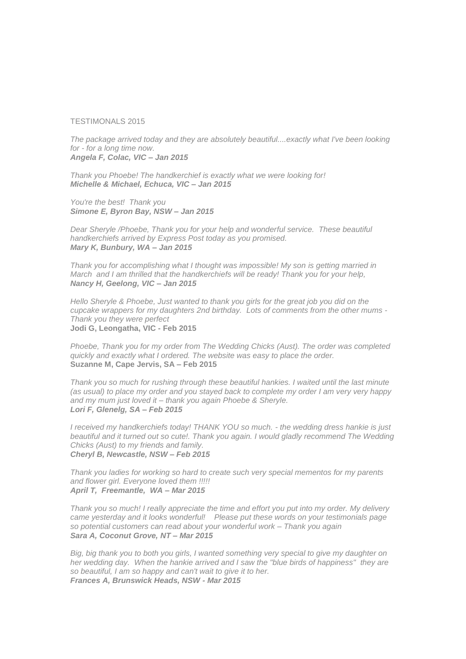## TESTIMONALS 2015

*The package arrived today and they are absolutely beautiful....exactly what I've been looking for - for a long time now. Angela F, Colac, VIC – Jan 2015*

*Thank you Phoebe! The handkerchief is exactly what we were looking for! Michelle & Michael, Echuca, VIC – Jan 2015*

*You're the best! Thank you Simone E, Byron Bay, NSW – Jan 2015*

*Dear Sheryle /Phoebe, Thank you for your help and wonderful service. These beautiful handkerchiefs arrived by Express Post today as you promised. Mary K, Bunbury, WA – Jan 2015*

*Thank you for accomplishing what I thought was impossible! My son is getting married in March and I am thrilled that the handkerchiefs will be ready! Thank you for your help, Nancy H, Geelong, VIC – Jan 2015*

*Hello Sheryle & Phoebe, Just wanted to thank you girls for the great job you did on the cupcake wrappers for my daughters 2nd birthday. Lots of comments from the other mums - Thank you they were perfect* **Jodi G, Leongatha, VIC - Feb 2015**

*Phoebe, Thank you for my order from The Wedding Chicks (Aust). The order was completed quickly and exactly what I ordered. The website was easy to place the order.* **Suzanne M, Cape Jervis, SA – Feb 2015**

*Thank you so much for rushing through these beautiful hankies. I waited until the last minute (as usual) to place my order and you stayed back to complete my order I am very very happy and my mum just loved it – thank you again Phoebe & Sheryle. Lori F, Glenelg, SA – Feb 2015*

*I received my handkerchiefs today! THANK YOU so much. - the wedding dress hankie is just*  beautiful and it turned out so cute!. Thank you again. I would gladly recommend The Wedding *Chicks (Aust) to my friends and family. Cheryl B, Newcastle, NSW – Feb 2015*

*Thank you ladies for working so hard to create such very special mementos for my parents and flower girl. Everyone loved them !!!!! April T, Freemantle, WA – Mar 2015*

*Thank you so much! I really appreciate the time and effort you put into my order. My delivery came yesterday and it looks wonderful! Please put these words on your testimonials page so potential customers can read about your wonderful work – Thank you again Sara A, Coconut Grove, NT – Mar 2015*

*Big, big thank you to both you girls, I wanted something very special to give my daughter on her wedding day. When the hankie arrived and I saw the "blue birds of happiness" they are so beautiful, I am so happy and can't wait to give it to her. Frances A, Brunswick Heads, NSW - Mar 2015*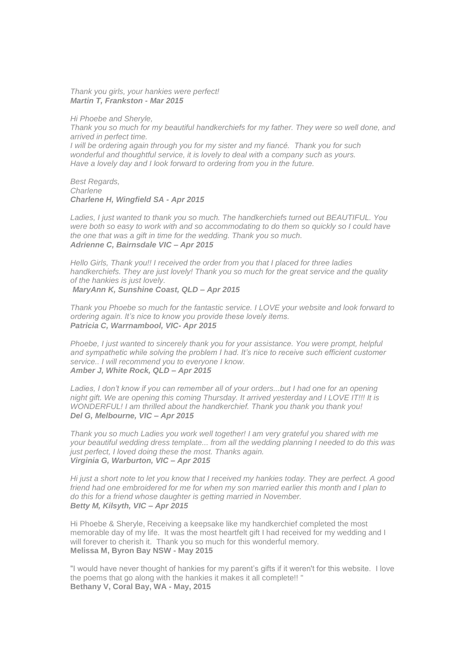*Thank you girls, your hankies were perfect! Martin T, Frankston - Mar 2015*

*Hi Phoebe and Sheryle,*

*Thank you so much for my beautiful handkerchiefs for my father. They were so well done, and arrived in perfect time.*

*I* will be ordering again through you for my sister and my fiancé. Thank you for such *wonderful and thoughtful service, it is lovely to deal with a company such as yours. Have a lovely day and I look forward to ordering from you in the future.*

*Best Regards, Charlene Charlene H, Wingfield SA - Apr 2015*

*Ladies, I just wanted to thank you so much. The handkerchiefs turned out BEAUTIFUL. You were both so easy to work with and so accommodating to do them so quickly so I could have the one that was a gift in time for the wedding. Thank you so much. Adrienne C, Bairnsdale VIC – Apr 2015*

*Hello Girls, Thank you!! I received the order from you that I placed for three ladies handkerchiefs. They are just lovely! Thank you so much for the great service and the quality of the hankies is just lovely. MaryAnn K, Sunshine Coast, QLD – Apr 2015*

*Thank you Phoebe so much for the fantastic service. I LOVE your website and look forward to ordering again. It's nice to know you provide these lovely items. Patricia C, Warrnambool, VIC- Apr 2015*

*Phoebe, I just wanted to sincerely thank you for your assistance. You were prompt, helpful and sympathetic while solving the problem I had. It's nice to receive such efficient customer service.. I will recommend you to everyone I know. Amber J, White Rock, QLD – Apr 2015*

*Ladies, I don't know if you can remember all of your orders...but I had one for an opening night gift. We are opening this coming Thursday. It arrived yesterday and I LOVE IT!!! It is WONDERFUL! I am thrilled about the handkerchief. Thank you thank you thank you! Del G, Melbourne, VIC – Apr 2015*

*Thank you so much Ladies you work well together! I am very grateful you shared with me your beautiful wedding dress template... from all the wedding planning I needed to do this was just perfect, I loved doing these the most. Thanks again. Virginia G, Warburton, VIC – Apr 2015*

*Hi just a short note to let you know that I received my hankies today. They are perfect. A good friend had one embroidered for me for when my son married earlier this month and I plan to do this for a friend whose daughter is getting married in November. Betty M, Kilsyth, VIC – Apr 2015*

Hi Phoebe & Sheryle, Receiving a keepsake like my handkerchief completed the most memorable day of my life. It was the most heartfelt gift I had received for my wedding and I will forever to cherish it. Thank you so much for this wonderful memory. **Melissa M, Byron Bay NSW - May 2015**

"I would have never thought of hankies for my parent's gifts if it weren't for this website. I love the poems that go along with the hankies it makes it all complete!! " **Bethany V, Coral Bay, WA - May, 2015**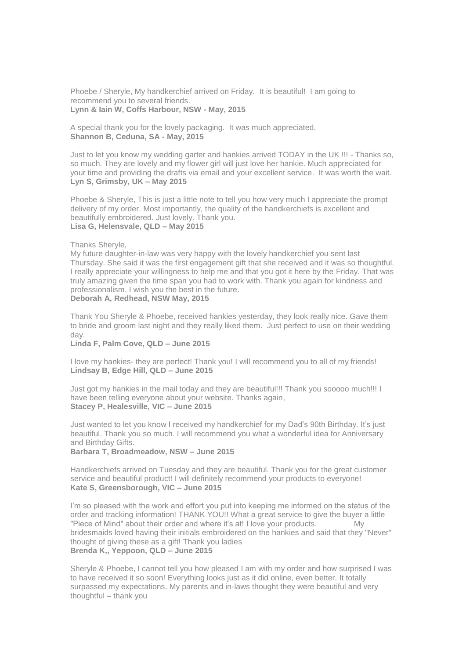Phoebe / Sheryle, My handkerchief arrived on Friday. It is beautiful! I am going to recommend you to several friends. **Lynn & Iain W, Coffs Harbour, NSW - May, 2015**

A special thank you for the lovely packaging. It was much appreciated. **Shannon B, Ceduna, SA - May, 2015**

Just to let you know my wedding garter and hankies arrived TODAY in the UK !!! - Thanks so, so much. They are lovely and my flower girl will just love her hankie. Much appreciated for your time and providing the drafts via email and your excellent service. It was worth the wait. **Lyn S, Grimsby, UK – May 2015**

Phoebe & Sheryle, This is just a little note to tell you how very much I appreciate the prompt delivery of my order. Most importantly, the quality of the handkerchiefs is excellent and beautifully embroidered. Just lovely. Thank you. **Lisa G, Helensvale, QLD – May 2015**

Thanks Sheryle,

My future daughter-in-law was very happy with the lovely handkerchief you sent last Thursday. She said it was the first engagement gift that she received and it was so thoughtful. I really appreciate your willingness to help me and that you got it here by the Friday. That was truly amazing given the time span you had to work with. Thank you again for kindness and professionalism. I wish you the best in the future. **Deborah A, Redhead, NSW May, 2015**

Thank You Sheryle & Phoebe, received hankies yesterday, they look really nice. Gave them to bride and groom last night and they really liked them. Just perfect to use on their wedding day.

**Linda F, Palm Cove, QLD – June 2015**

I love my hankies- they are perfect! Thank you! I will recommend you to all of my friends! **Lindsay B, Edge Hill, QLD – June 2015**

Just got my hankies in the mail today and they are beautiful!!! Thank you sooooo much!!! I have been telling everyone about your website. Thanks again, **Stacey P, Healesville, VIC – June 2015**

Just wanted to let you know I received my handkerchief for my Dad's 90th Birthday. It's just beautiful. Thank you so much. I will recommend you what a wonderful idea for Anniversary and Birthday Gifts.

**Barbara T, Broadmeadow, NSW – June 2015**

Handkerchiefs arrived on Tuesday and they are beautiful. Thank you for the great customer service and beautiful product! I will definitely recommend your products to everyone! **Kate S, Greensborough, VIC – June 2015**

I'm so pleased with the work and effort you put into keeping me informed on the status of the order and tracking information! THANK YOU!! What a great service to give the buyer a little "Piece of Mind" about their order and where it's at! I love your products. My bridesmaids loved having their initials embroidered on the hankies and said that they "Never" thought of giving these as a gift! Thank you ladies **Brenda K,, Yeppoon, QLD – June 2015** 

Sheryle & Phoebe, I cannot tell you how pleased I am with my order and how surprised I was to have received it so soon! Everything looks just as it did online, even better. It totally surpassed my expectations. My parents and in-laws thought they were beautiful and very thoughtful – thank you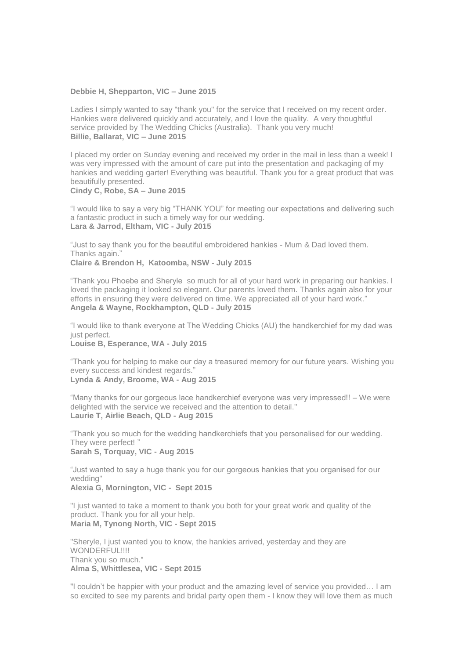## **Debbie H, Shepparton, VIC – June 2015**

Ladies I simply wanted to say "thank you" for the service that I received on my recent order. Hankies were delivered quickly and accurately, and I love the quality. A very thoughtful service provided by The Wedding Chicks (Australia). Thank you very much! **Billie, Ballarat, VIC – June 2015**

I placed my order on Sunday evening and received my order in the mail in less than a week! I was very impressed with the amount of care put into the presentation and packaging of my hankies and wedding garter! Everything was beautiful. Thank you for a great product that was beautifully presented. **Cindy C, Robe, SA – June 2015**

"I would like to say a very big "THANK YOU" for meeting our expectations and delivering such a fantastic product in such a timely way for our wedding. **Lara & Jarrod, Eltham, VIC - July 2015**

"Just to say thank you for the beautiful embroidered hankies - Mum & Dad loved them. Thanks again." **Claire & Brendon H, Katoomba, NSW - July 2015**

"Thank you Phoebe and Sheryle so much for all of your hard work in preparing our hankies. I loved the packaging it looked so elegant. Our parents loved them. Thanks again also for your efforts in ensuring they were delivered on time. We appreciated all of your hard work." **Angela & Wayne, Rockhampton, QLD - July 2015**

"I would like to thank everyone at The Wedding Chicks (AU) the handkerchief for my dad was just perfect. **Louise B, Esperance, WA - July 2015**

"Thank you for helping to make our day a treasured memory for our future years. Wishing you every success and kindest regards."

**Lynda & Andy, Broome, WA - Aug 2015**

"Many thanks for our gorgeous lace handkerchief everyone was very impressed!! – We were delighted with the service we received and the attention to detail." **Laurie T, Airlie Beach, QLD - Aug 2015**

"Thank you so much for the wedding handkerchiefs that you personalised for our wedding. They were perfect! " **Sarah S, Torquay, VIC - Aug 2015**

"Just wanted to say a huge thank you for our gorgeous hankies that you organised for our wedding"

**Alexia G, Mornington, VIC - Sept 2015**

"I just wanted to take a moment to thank you both for your great work and quality of the product. Thank you for all your help. **Maria M, Tynong North, VIC - Sept 2015**

"Sheryle, I just wanted you to know, the hankies arrived, yesterday and they are WONDERFUL!!!! Thank you so much." **Alma S, Whittlesea, VIC - Sept 2015**

"I couldn't be happier with your product and the amazing level of service you provided… I am so excited to see my parents and bridal party open them - I know they will love them as much